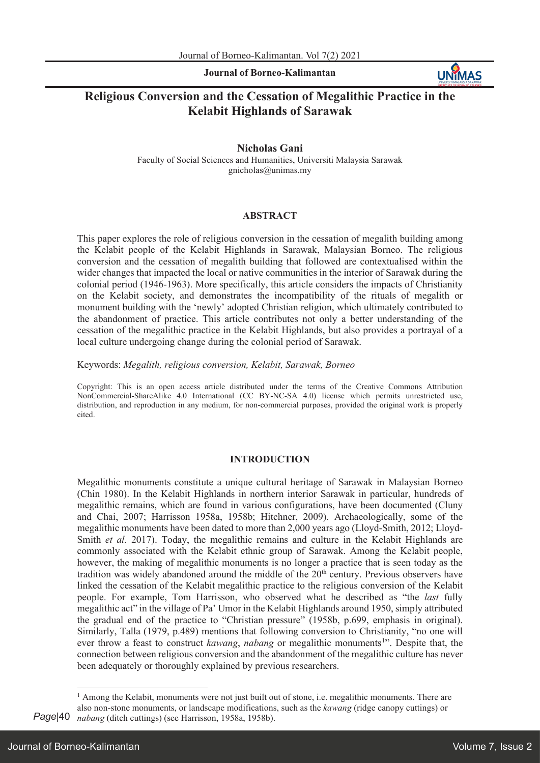**Journal of Borneo-Kalimantan**



# **Religious Conversion and the Cessation of Megalithic Practice in the Kelabit Highlands of Sarawak**

### **Nicholas Gani**

Faculty of Social Sciences and Humanities, Universiti Malaysia Sarawak gnicholas@unimas.my

### **ABSTRACT**

This paper explores the role of religious conversion in the cessation of megalith building among the Kelabit people of the Kelabit Highlands in Sarawak, Malaysian Borneo. The religious conversion and the cessation of megalith building that followed are contextualised within the wider changes that impacted the local or native communities in the interior of Sarawak during the colonial period (1946-1963). More specifically, this article considers the impacts of Christianity on the Kelabit society, and demonstrates the incompatibility of the rituals of megalith or monument building with the 'newly' adopted Christian religion, which ultimately contributed to the abandonment of practice. This article contributes not only a better understanding of the cessation of the megalithic practice in the Kelabit Highlands, but also provides a portrayal of a local culture undergoing change during the colonial period of Sarawak.

Keywords: *Megalith, religious conversion, Kelabit, Sarawak, Borneo*

Copyright: This is an open access article distributed under the terms of the Creative Commons Attribution NonCommercial-ShareAlike 4.0 International (CC BY-NC-SA 4.0) license which permits unrestricted use, distribution, and reproduction in any medium, for non-commercial purposes, provided the original work is properly cited.

### **INTRODUCTION**

Megalithic monuments constitute a unique cultural heritage of Sarawak in Malaysian Borneo (Chin 1980). In the Kelabit Highlands in northern interior Sarawak in particular, hundreds of megalithic remains, which are found in various configurations, have been documented (Cluny and Chai, 2007; Harrisson 1958a, 1958b; Hitchner, 2009). Archaeologically, some of the megalithic monuments have been dated to more than 2,000 years ago (Lloyd-Smith, 2012; Lloyd-Smith *et al.* 2017). Today, the megalithic remains and culture in the Kelabit Highlands are commonly associated with the Kelabit ethnic group of Sarawak. Among the Kelabit people, however, the making of megalithic monuments is no longer a practice that is seen today as the tradition was widely abandoned around the middle of the  $20<sup>th</sup>$  century. Previous observers have linked the cessation of the Kelabit megalithic practice to the religious conversion of the Kelabit people. For example, Tom Harrisson, who observed what he described as "the *last* fully megalithic act" in the village of Pa' Umor in the Kelabit Highlands around 1950, simply attributed the gradual end of the practice to "Christian pressure" (1958b, p.699, emphasis in original). Similarly, Talla (1979, p.489) mentions that following conversion to Christianity, "no one will ever throw a feast to construct *kawang*, *nabang* or megalithic monuments<sup>1</sup>". Despite that, the connection between religious conversion and the abandonment of the megalithic culture has never been adequately or thoroughly explained by previous researchers.

 $<sup>1</sup>$  Among the Kelabit, monuments were not just built out of stone, i.e. megalithic monuments. There are</sup>

also non-stone monuments, or landscape modifications, such as the *kawang* (ridge canopy cuttings) or *nabang* (ditch cuttings) (see Harrisson, 1958a, 1958b).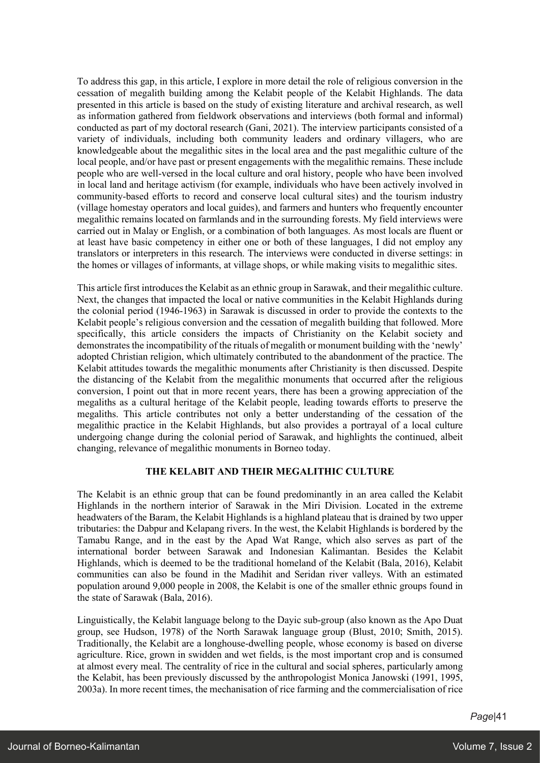To address this gap, in this article, I explore in more detail the role of religious conversion in the cessation of megalith building among the Kelabit people of the Kelabit Highlands. The data presented in this article is based on the study of existing literature and archival research, as well as information gathered from fieldwork observations and interviews (both formal and informal) conducted as part of my doctoral research (Gani, 2021). The interview participants consisted of a variety of individuals, including both community leaders and ordinary villagers, who are knowledgeable about the megalithic sites in the local area and the past megalithic culture of the local people, and/or have past or present engagements with the megalithic remains. These include people who are well-versed in the local culture and oral history, people who have been involved in local land and heritage activism (for example, individuals who have been actively involved in community-based efforts to record and conserve local cultural sites) and the tourism industry (village homestay operators and local guides), and farmers and hunters who frequently encounter megalithic remains located on farmlands and in the surrounding forests. My field interviews were carried out in Malay or English, or a combination of both languages. As most locals are fluent or at least have basic competency in either one or both of these languages, I did not employ any translators or interpreters in this research. The interviews were conducted in diverse settings: in the homes or villages of informants, at village shops, or while making visits to megalithic sites.

This article first introduces the Kelabit as an ethnic group in Sarawak, and their megalithic culture. Next, the changes that impacted the local or native communities in the Kelabit Highlands during the colonial period (1946-1963) in Sarawak is discussed in order to provide the contexts to the Kelabit people's religious conversion and the cessation of megalith building that followed. More specifically, this article considers the impacts of Christianity on the Kelabit society and demonstrates the incompatibility of the rituals of megalith or monument building with the 'newly' adopted Christian religion, which ultimately contributed to the abandonment of the practice. The Kelabit attitudes towards the megalithic monuments after Christianity is then discussed. Despite the distancing of the Kelabit from the megalithic monuments that occurred after the religious conversion, I point out that in more recent years, there has been a growing appreciation of the megaliths as a cultural heritage of the Kelabit people, leading towards efforts to preserve the megaliths. This article contributes not only a better understanding of the cessation of the megalithic practice in the Kelabit Highlands, but also provides a portrayal of a local culture undergoing change during the colonial period of Sarawak, and highlights the continued, albeit changing, relevance of megalithic monuments in Borneo today.

# **THE KELABIT AND THEIR MEGALITHIC CULTURE**

The Kelabit is an ethnic group that can be found predominantly in an area called the Kelabit Highlands in the northern interior of Sarawak in the Miri Division. Located in the extreme headwaters of the Baram, the Kelabit Highlands is a highland plateau that is drained by two upper tributaries: the Dabpur and Kelapang rivers. In the west, the Kelabit Highlands is bordered by the Tamabu Range, and in the east by the Apad Wat Range, which also serves as part of the international border between Sarawak and Indonesian Kalimantan. Besides the Kelabit Highlands, which is deemed to be the traditional homeland of the Kelabit (Bala, 2016), Kelabit communities can also be found in the Madihit and Seridan river valleys. With an estimated population around 9,000 people in 2008, the Kelabit is one of the smaller ethnic groups found in the state of Sarawak (Bala, 2016).

Linguistically, the Kelabit language belong to the Dayic sub-group (also known as the Apo Duat group, see Hudson, 1978) of the North Sarawak language group (Blust, 2010; Smith, 2015). Traditionally, the Kelabit are a longhouse-dwelling people, whose economy is based on diverse agriculture. Rice, grown in swidden and wet fields, is the most important crop and is consumed at almost every meal. The centrality of rice in the cultural and social spheres, particularly among the Kelabit, has been previously discussed by the anthropologist Monica Janowski (1991, 1995, 2003a). In more recent times, the mechanisation of rice farming and the commercialisation of rice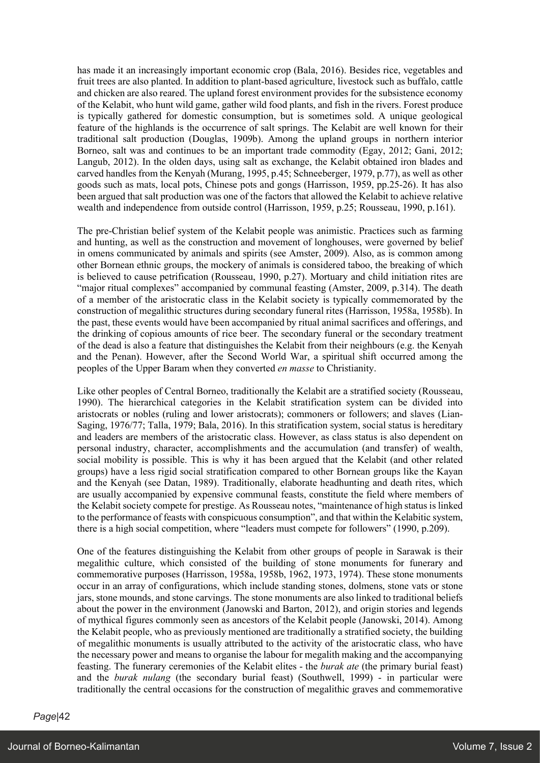has made it an increasingly important economic crop (Bala, 2016). Besides rice, vegetables and fruit trees are also planted. In addition to plant-based agriculture, livestock such as buffalo, cattle and chicken are also reared. The upland forest environment provides for the subsistence economy of the Kelabit, who hunt wild game, gather wild food plants, and fish in the rivers. Forest produce is typically gathered for domestic consumption, but is sometimes sold. A unique geological feature of the highlands is the occurrence of salt springs. The Kelabit are well known for their traditional salt production (Douglas, 1909b). Among the upland groups in northern interior Borneo, salt was and continues to be an important trade commodity (Egay, 2012; Gani, 2012; Langub, 2012). In the olden days, using salt as exchange, the Kelabit obtained iron blades and carved handles from the Kenyah (Murang, 1995, p.45; Schneeberger, 1979, p.77), as well as other goods such as mats, local pots, Chinese pots and gongs (Harrisson, 1959, pp.25-26). It has also been argued that salt production was one of the factors that allowed the Kelabit to achieve relative wealth and independence from outside control (Harrisson, 1959, p.25; Rousseau, 1990, p.161).

The pre-Christian belief system of the Kelabit people was animistic. Practices such as farming and hunting, as well as the construction and movement of longhouses, were governed by belief in omens communicated by animals and spirits (see Amster, 2009). Also, as is common among other Bornean ethnic groups, the mockery of animals is considered taboo, the breaking of which is believed to cause petrification (Rousseau, 1990, p.27). Mortuary and child initiation rites are "major ritual complexes" accompanied by communal feasting (Amster, 2009, p.314). The death of a member of the aristocratic class in the Kelabit society is typically commemorated by the construction of megalithic structures during secondary funeral rites (Harrisson, 1958a, 1958b). In the past, these events would have been accompanied by ritual animal sacrifices and offerings, and the drinking of copious amounts of rice beer. The secondary funeral or the secondary treatment of the dead is also a feature that distinguishes the Kelabit from their neighbours (e.g. the Kenyah and the Penan). However, after the Second World War, a spiritual shift occurred among the peoples of the Upper Baram when they converted *en masse* to Christianity.

Like other peoples of Central Borneo, traditionally the Kelabit are a stratified society (Rousseau, 1990). The hierarchical categories in the Kelabit stratification system can be divided into aristocrats or nobles (ruling and lower aristocrats); commoners or followers; and slaves (Lian-Saging, 1976/77; Talla, 1979; Bala, 2016). In this stratification system, social status is hereditary and leaders are members of the aristocratic class. However, as class status is also dependent on personal industry, character, accomplishments and the accumulation (and transfer) of wealth, social mobility is possible. This is why it has been argued that the Kelabit (and other related groups) have a less rigid social stratification compared to other Bornean groups like the Kayan and the Kenyah (see Datan, 1989). Traditionally, elaborate headhunting and death rites, which are usually accompanied by expensive communal feasts, constitute the field where members of the Kelabit society compete for prestige. As Rousseau notes, "maintenance of high status is linked to the performance of feasts with conspicuous consumption", and that within the Kelabitic system, there is a high social competition, where "leaders must compete for followers" (1990, p.209).

One of the features distinguishing the Kelabit from other groups of people in Sarawak is their megalithic culture, which consisted of the building of stone monuments for funerary and commemorative purposes (Harrisson, 1958a, 1958b, 1962, 1973, 1974). These stone monuments occur in an array of configurations, which include standing stones, dolmens, stone vats or stone jars, stone mounds, and stone carvings. The stone monuments are also linked to traditional beliefs about the power in the environment (Janowski and Barton, 2012), and origin stories and legends of mythical figures commonly seen as ancestors of the Kelabit people (Janowski, 2014). Among the Kelabit people, who as previously mentioned are traditionally a stratified society, the building of megalithic monuments is usually attributed to the activity of the aristocratic class, who have the necessary power and means to organise the labour for megalith making and the accompanying feasting. The funerary ceremonies of the Kelabit elites - the *burak ate* (the primary burial feast) and the *burak nulang* (the secondary burial feast) (Southwell, 1999) - in particular were traditionally the central occasions for the construction of megalithic graves and commemorative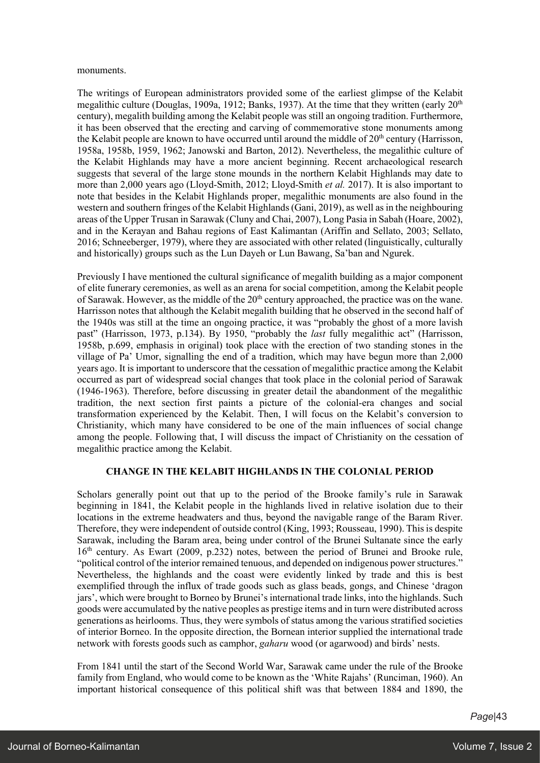#### monuments.

The writings of European administrators provided some of the earliest glimpse of the Kelabit megalithic culture (Douglas, 1909a, 1912; Banks, 1937). At the time that they written (early  $20<sup>th</sup>$ century), megalith building among the Kelabit people was still an ongoing tradition. Furthermore, it has been observed that the erecting and carving of commemorative stone monuments among the Kelabit people are known to have occurred until around the middle of  $20<sup>th</sup>$  century (Harrisson, 1958a, 1958b, 1959, 1962; Janowski and Barton, 2012). Nevertheless, the megalithic culture of the Kelabit Highlands may have a more ancient beginning. Recent archaeological research suggests that several of the large stone mounds in the northern Kelabit Highlands may date to more than 2,000 years ago (Lloyd-Smith, 2012; Lloyd-Smith *et al.* 2017). It is also important to note that besides in the Kelabit Highlands proper, megalithic monuments are also found in the western and southern fringes of the Kelabit Highlands (Gani, 2019), as well as in the neighbouring areas of the Upper Trusan in Sarawak (Cluny and Chai, 2007), Long Pasia in Sabah (Hoare, 2002), and in the Kerayan and Bahau regions of East Kalimantan (Ariffin and Sellato, 2003; Sellato, 2016; Schneeberger, 1979), where they are associated with other related (linguistically, culturally and historically) groups such as the Lun Dayeh or Lun Bawang, Sa'ban and Ngurek.

Previously I have mentioned the cultural significance of megalith building as a major component of elite funerary ceremonies, as well as an arena for social competition, among the Kelabit people of Sarawak. However, as the middle of the  $20<sup>th</sup>$  century approached, the practice was on the wane. Harrisson notes that although the Kelabit megalith building that he observed in the second half of the 1940s was still at the time an ongoing practice, it was "probably the ghost of a more lavish past" (Harrisson, 1973, p.134). By 1950, "probably the *last* fully megalithic act" (Harrisson, 1958b, p.699, emphasis in original) took place with the erection of two standing stones in the village of Pa' Umor, signalling the end of a tradition, which may have begun more than 2,000 years ago. It is important to underscore that the cessation of megalithic practice among the Kelabit occurred as part of widespread social changes that took place in the colonial period of Sarawak (1946-1963). Therefore, before discussing in greater detail the abandonment of the megalithic tradition, the next section first paints a picture of the colonial-era changes and social transformation experienced by the Kelabit. Then, I will focus on the Kelabit's conversion to Christianity, which many have considered to be one of the main influences of social change among the people. Following that, I will discuss the impact of Christianity on the cessation of megalithic practice among the Kelabit.

# **CHANGE IN THE KELABIT HIGHLANDS IN THE COLONIAL PERIOD**

Scholars generally point out that up to the period of the Brooke family's rule in Sarawak beginning in 1841, the Kelabit people in the highlands lived in relative isolation due to their locations in the extreme headwaters and thus, beyond the navigable range of the Baram River. Therefore, they were independent of outside control (King, 1993; Rousseau, 1990). This is despite Sarawak, including the Baram area, being under control of the Brunei Sultanate since the early  $16<sup>th</sup>$  century. As Ewart (2009, p.232) notes, between the period of Brunei and Brooke rule, "political control of the interior remained tenuous, and depended on indigenous power structures." Nevertheless, the highlands and the coast were evidently linked by trade and this is best exemplified through the influx of trade goods such as glass beads, gongs, and Chinese 'dragon jars', which were brought to Borneo by Brunei's international trade links, into the highlands. Such goods were accumulated by the native peoples as prestige items and in turn were distributed across generations as heirlooms. Thus, they were symbols of status among the various stratified societies of interior Borneo. In the opposite direction, the Bornean interior supplied the international trade network with forests goods such as camphor, *gaharu* wood (or agarwood) and birds' nests.

From 1841 until the start of the Second World War, Sarawak came under the rule of the Brooke family from England, who would come to be known as the 'White Rajahs' (Runciman, 1960). An important historical consequence of this political shift was that between 1884 and 1890, the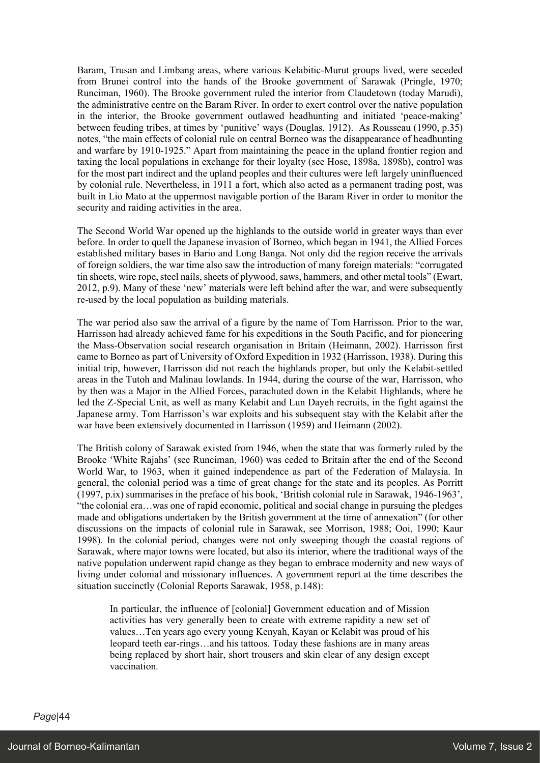Baram, Trusan and Limbang areas, where various Kelabitic-Murut groups lived, were seceded from Brunei control into the hands of the Brooke government of Sarawak (Pringle, 1970; Runciman, 1960). The Brooke government ruled the interior from Claudetown (today Marudi), the administrative centre on the Baram River. In order to exert control over the native population in the interior, the Brooke government outlawed headhunting and initiated 'peace-making' between feuding tribes, at times by 'punitive' ways (Douglas, 1912). As Rousseau (1990, p.35) notes, "the main effects of colonial rule on central Borneo was the disappearance of headhunting and warfare by 1910-1925." Apart from maintaining the peace in the upland frontier region and taxing the local populations in exchange for their loyalty (see Hose, 1898a, 1898b), control was for the most part indirect and the upland peoples and their cultures were left largely uninfluenced by colonial rule. Nevertheless, in 1911 a fort, which also acted as a permanent trading post, was built in Lio Mato at the uppermost navigable portion of the Baram River in order to monitor the security and raiding activities in the area.

The Second World War opened up the highlands to the outside world in greater ways than ever before. In order to quell the Japanese invasion of Borneo, which began in 1941, the Allied Forces established military bases in Bario and Long Banga. Not only did the region receive the arrivals of foreign soldiers, the war time also saw the introduction of many foreign materials: "corrugated tin sheets, wire rope, steel nails, sheets of plywood, saws, hammers, and other metal tools" (Ewart, 2012, p.9). Many of these 'new' materials were left behind after the war, and were subsequently re-used by the local population as building materials.

The war period also saw the arrival of a figure by the name of Tom Harrisson. Prior to the war, Harrisson had already achieved fame for his expeditions in the South Pacific, and for pioneering the Mass-Observation social research organisation in Britain (Heimann, 2002). Harrisson first came to Borneo as part of University of Oxford Expedition in 1932 (Harrisson, 1938). During this initial trip, however, Harrisson did not reach the highlands proper, but only the Kelabit-settled areas in the Tutoh and Malinau lowlands. In 1944, during the course of the war, Harrisson, who by then was a Major in the Allied Forces, parachuted down in the Kelabit Highlands, where he led the Z-Special Unit, as well as many Kelabit and Lun Dayeh recruits, in the fight against the Japanese army. Tom Harrisson's war exploits and his subsequent stay with the Kelabit after the war have been extensively documented in Harrisson (1959) and Heimann (2002).

The British colony of Sarawak existed from 1946, when the state that was formerly ruled by the Brooke 'White Rajahs' (see Runciman, 1960) was ceded to Britain after the end of the Second World War, to 1963, when it gained independence as part of the Federation of Malaysia. In general, the colonial period was a time of great change for the state and its peoples. As Porritt (1997, p.ix) summarises in the preface of his book, 'British colonial rule in Sarawak, 1946-1963', "the colonial era…was one of rapid economic, political and social change in pursuing the pledges made and obligations undertaken by the British government at the time of annexation" (for other discussions on the impacts of colonial rule in Sarawak, see Morrison, 1988; Ooi, 1990; Kaur 1998). In the colonial period, changes were not only sweeping though the coastal regions of Sarawak, where major towns were located, but also its interior, where the traditional ways of the native population underwent rapid change as they began to embrace modernity and new ways of living under colonial and missionary influences. A government report at the time describes the situation succinctly (Colonial Reports Sarawak, 1958, p.148):

In particular, the influence of [colonial] Government education and of Mission activities has very generally been to create with extreme rapidity a new set of values…Ten years ago every young Kenyah, Kayan or Kelabit was proud of his leopard teeth ear-rings…and his tattoos. Today these fashions are in many areas being replaced by short hair, short trousers and skin clear of any design except vaccination.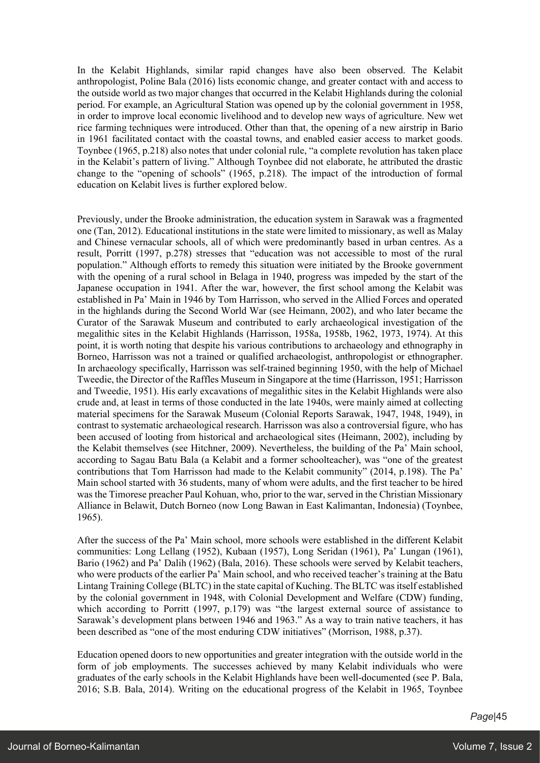In the Kelabit Highlands, similar rapid changes have also been observed. The Kelabit anthropologist, Poline Bala (2016) lists economic change, and greater contact with and access to the outside world as two major changes that occurred in the Kelabit Highlands during the colonial period. For example, an Agricultural Station was opened up by the colonial government in 1958, in order to improve local economic livelihood and to develop new ways of agriculture. New wet rice farming techniques were introduced. Other than that, the opening of a new airstrip in Bario in 1961 facilitated contact with the coastal towns, and enabled easier access to market goods. Toynbee (1965, p.218) also notes that under colonial rule, "a complete revolution has taken place in the Kelabit's pattern of living." Although Toynbee did not elaborate, he attributed the drastic change to the "opening of schools" (1965, p.218). The impact of the introduction of formal education on Kelabit lives is further explored below.

Previously, under the Brooke administration, the education system in Sarawak was a fragmented one (Tan, 2012). Educational institutions in the state were limited to missionary, as well as Malay and Chinese vernacular schools, all of which were predominantly based in urban centres. As a result, Porritt (1997, p.278) stresses that "education was not accessible to most of the rural population." Although efforts to remedy this situation were initiated by the Brooke government with the opening of a rural school in Belaga in 1940, progress was impeded by the start of the Japanese occupation in 1941. After the war, however, the first school among the Kelabit was established in Pa' Main in 1946 by Tom Harrisson, who served in the Allied Forces and operated in the highlands during the Second World War (see Heimann, 2002), and who later became the Curator of the Sarawak Museum and contributed to early archaeological investigation of the megalithic sites in the Kelabit Highlands (Harrisson, 1958a, 1958b, 1962, 1973, 1974). At this point, it is worth noting that despite his various contributions to archaeology and ethnography in Borneo, Harrisson was not a trained or qualified archaeologist, anthropologist or ethnographer. In archaeology specifically, Harrisson was self-trained beginning 1950, with the help of Michael Tweedie, the Director of the Raffles Museum in Singapore at the time (Harrisson, 1951; Harrisson and Tweedie, 1951). His early excavations of megalithic sites in the Kelabit Highlands were also crude and, at least in terms of those conducted in the late 1940s, were mainly aimed at collecting material specimens for the Sarawak Museum (Colonial Reports Sarawak, 1947, 1948, 1949), in contrast to systematic archaeological research. Harrisson was also a controversial figure, who has been accused of looting from historical and archaeological sites (Heimann, 2002), including by the Kelabit themselves (see Hitchner, 2009). Nevertheless, the building of the Pa' Main school, according to Sagau Batu Bala (a Kelabit and a former schoolteacher), was "one of the greatest contributions that Tom Harrisson had made to the Kelabit community" (2014, p.198). The Pa' Main school started with 36 students, many of whom were adults, and the first teacher to be hired was the Timorese preacher Paul Kohuan, who, prior to the war, served in the Christian Missionary Alliance in Belawit, Dutch Borneo (now Long Bawan in East Kalimantan, Indonesia) (Toynbee, 1965).

After the success of the Pa' Main school, more schools were established in the different Kelabit communities: Long Lellang (1952), Kubaan (1957), Long Seridan (1961), Pa' Lungan (1961), Bario (1962) and Pa' Dalih (1962) (Bala, 2016). These schools were served by Kelabit teachers, who were products of the earlier Pa' Main school, and who received teacher's training at the Batu Lintang Training College (BLTC) in the state capital of Kuching. The BLTC was itself established by the colonial government in 1948, with Colonial Development and Welfare (CDW) funding, which according to Porritt (1997, p.179) was "the largest external source of assistance to Sarawak's development plans between 1946 and 1963." As a way to train native teachers, it has been described as "one of the most enduring CDW initiatives" (Morrison, 1988, p.37).

Education opened doors to new opportunities and greater integration with the outside world in the form of job employments. The successes achieved by many Kelabit individuals who were graduates of the early schools in the Kelabit Highlands have been well-documented (see P. Bala, 2016; S.B. Bala, 2014). Writing on the educational progress of the Kelabit in 1965, Toynbee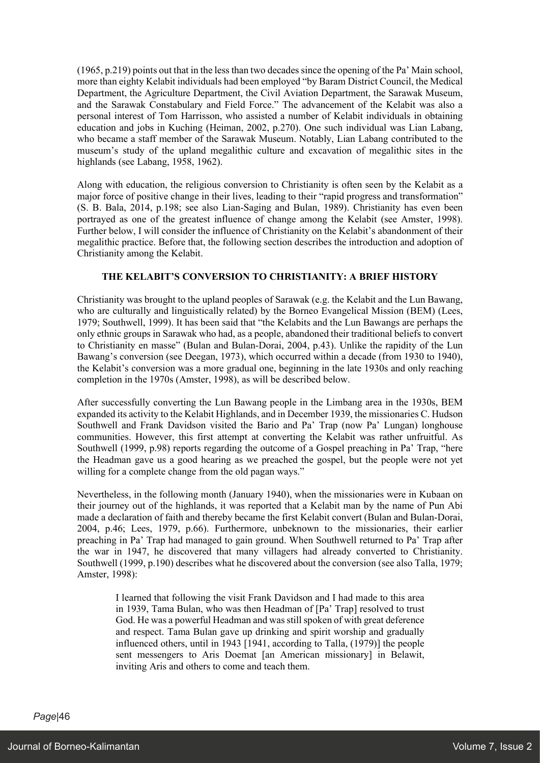(1965, p.219) points out that in the less than two decades since the opening of the Pa' Main school, more than eighty Kelabit individuals had been employed "by Baram District Council, the Medical Department, the Agriculture Department, the Civil Aviation Department, the Sarawak Museum, and the Sarawak Constabulary and Field Force." The advancement of the Kelabit was also a personal interest of Tom Harrisson, who assisted a number of Kelabit individuals in obtaining education and jobs in Kuching (Heiman, 2002, p.270). One such individual was Lian Labang, who became a staff member of the Sarawak Museum. Notably, Lian Labang contributed to the museum's study of the upland megalithic culture and excavation of megalithic sites in the highlands (see Labang, 1958, 1962).

Along with education, the religious conversion to Christianity is often seen by the Kelabit as a major force of positive change in their lives, leading to their "rapid progress and transformation" (S. B. Bala, 2014, p.198; see also Lian-Saging and Bulan, 1989). Christianity has even been portrayed as one of the greatest influence of change among the Kelabit (see Amster, 1998). Further below, I will consider the influence of Christianity on the Kelabit's abandonment of their megalithic practice. Before that, the following section describes the introduction and adoption of Christianity among the Kelabit.

# **THE KELABIT'S CONVERSION TO CHRISTIANITY: A BRIEF HISTORY**

Christianity was brought to the upland peoples of Sarawak (e.g. the Kelabit and the Lun Bawang, who are culturally and linguistically related) by the Borneo Evangelical Mission (BEM) (Lees, 1979; Southwell, 1999). It has been said that "the Kelabits and the Lun Bawangs are perhaps the only ethnic groups in Sarawak who had, as a people, abandoned their traditional beliefs to convert to Christianity en masse" (Bulan and Bulan-Dorai, 2004, p.43). Unlike the rapidity of the Lun Bawang's conversion (see Deegan, 1973), which occurred within a decade (from 1930 to 1940), the Kelabit's conversion was a more gradual one, beginning in the late 1930s and only reaching completion in the 1970s (Amster, 1998), as will be described below.

After successfully converting the Lun Bawang people in the Limbang area in the 1930s, BEM expanded its activity to the Kelabit Highlands, and in December 1939, the missionaries C. Hudson Southwell and Frank Davidson visited the Bario and Pa' Trap (now Pa' Lungan) longhouse communities. However, this first attempt at converting the Kelabit was rather unfruitful. As Southwell (1999, p.98) reports regarding the outcome of a Gospel preaching in Pa' Trap, "here the Headman gave us a good hearing as we preached the gospel, but the people were not yet willing for a complete change from the old pagan ways."

Nevertheless, in the following month (January 1940), when the missionaries were in Kubaan on their journey out of the highlands, it was reported that a Kelabit man by the name of Pun Abi made a declaration of faith and thereby became the first Kelabit convert (Bulan and Bulan-Dorai, 2004, p.46; Lees, 1979, p.66). Furthermore, unbeknown to the missionaries, their earlier preaching in Pa' Trap had managed to gain ground. When Southwell returned to Pa' Trap after the war in 1947, he discovered that many villagers had already converted to Christianity. Southwell (1999, p.190) describes what he discovered about the conversion (see also Talla, 1979; Amster, 1998):

I learned that following the visit Frank Davidson and I had made to this area in 1939, Tama Bulan, who was then Headman of [Pa' Trap] resolved to trust God. He was a powerful Headman and was still spoken of with great deference and respect. Tama Bulan gave up drinking and spirit worship and gradually influenced others, until in 1943 [1941, according to Talla, (1979)] the people sent messengers to Aris Doemat [an American missionary] in Belawit, inviting Aris and others to come and teach them.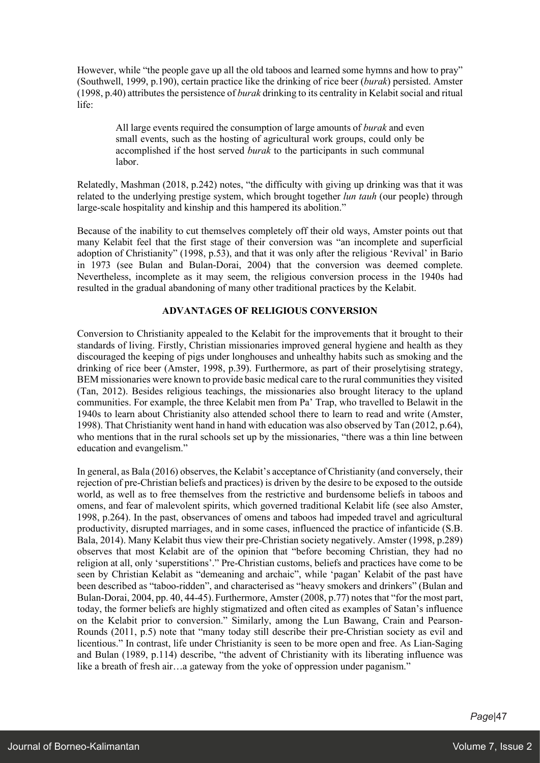However, while "the people gave up all the old taboos and learned some hymns and how to pray" (Southwell, 1999, p.190), certain practice like the drinking of rice beer (*burak*) persisted. Amster (1998, p.40) attributes the persistence of *burak* drinking to its centrality in Kelabit social and ritual life:

All large events required the consumption of large amounts of *burak* and even small events, such as the hosting of agricultural work groups, could only be accomplished if the host served *burak* to the participants in such communal labor.

Relatedly, Mashman (2018, p.242) notes, "the difficulty with giving up drinking was that it was related to the underlying prestige system, which brought together *lun tauh* (our people) through large-scale hospitality and kinship and this hampered its abolition."

Because of the inability to cut themselves completely off their old ways, Amster points out that many Kelabit feel that the first stage of their conversion was "an incomplete and superficial adoption of Christianity" (1998, p.53), and that it was only after the religious 'Revival' in Bario in 1973 (see Bulan and Bulan-Dorai, 2004) that the conversion was deemed complete. Nevertheless, incomplete as it may seem, the religious conversion process in the 1940s had resulted in the gradual abandoning of many other traditional practices by the Kelabit.

# **ADVANTAGES OF RELIGIOUS CONVERSION**

Conversion to Christianity appealed to the Kelabit for the improvements that it brought to their standards of living. Firstly, Christian missionaries improved general hygiene and health as they discouraged the keeping of pigs under longhouses and unhealthy habits such as smoking and the drinking of rice beer (Amster, 1998, p.39). Furthermore, as part of their proselytising strategy, BEM missionaries were known to provide basic medical care to the rural communities they visited (Tan, 2012). Besides religious teachings, the missionaries also brought literacy to the upland communities. For example, the three Kelabit men from Pa' Trap, who travelled to Belawit in the 1940s to learn about Christianity also attended school there to learn to read and write (Amster, 1998). That Christianity went hand in hand with education was also observed by Tan (2012, p.64), who mentions that in the rural schools set up by the missionaries, "there was a thin line between education and evangelism."

In general, as Bala (2016) observes, the Kelabit's acceptance of Christianity (and conversely, their rejection of pre-Christian beliefs and practices) is driven by the desire to be exposed to the outside world, as well as to free themselves from the restrictive and burdensome beliefs in taboos and omens, and fear of malevolent spirits, which governed traditional Kelabit life (see also Amster, 1998, p.264). In the past, observances of omens and taboos had impeded travel and agricultural productivity, disrupted marriages, and in some cases, influenced the practice of infanticide (S.B. Bala, 2014). Many Kelabit thus view their pre-Christian society negatively. Amster (1998, p.289) observes that most Kelabit are of the opinion that "before becoming Christian, they had no religion at all, only 'superstitions'." Pre-Christian customs, beliefs and practices have come to be seen by Christian Kelabit as "demeaning and archaic", while 'pagan' Kelabit of the past have been described as "taboo-ridden", and characterised as "heavy smokers and drinkers" (Bulan and Bulan-Dorai, 2004, pp. 40, 44-45). Furthermore, Amster (2008, p.77) notes that "for the most part, today, the former beliefs are highly stigmatized and often cited as examples of Satan's influence on the Kelabit prior to conversion." Similarly, among the Lun Bawang, Crain and Pearson-Rounds (2011, p.5) note that "many today still describe their pre-Christian society as evil and licentious." In contrast, life under Christianity is seen to be more open and free. As Lian-Saging and Bulan (1989, p.114) describe, "the advent of Christianity with its liberating influence was like a breath of fresh air...a gateway from the yoke of oppression under paganism."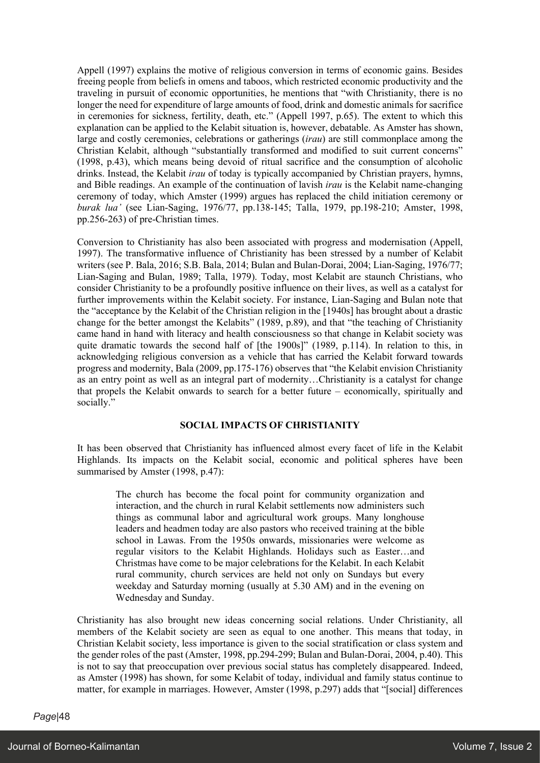Appell (1997) explains the motive of religious conversion in terms of economic gains. Besides freeing people from beliefs in omens and taboos, which restricted economic productivity and the traveling in pursuit of economic opportunities, he mentions that "with Christianity, there is no longer the need for expenditure of large amounts of food, drink and domestic animals for sacrifice in ceremonies for sickness, fertility, death, etc." (Appell 1997, p.65). The extent to which this explanation can be applied to the Kelabit situation is, however, debatable. As Amster has shown, large and costly ceremonies, celebrations or gatherings (*irau*) are still commonplace among the Christian Kelabit, although "substantially transformed and modified to suit current concerns" (1998, p.43), which means being devoid of ritual sacrifice and the consumption of alcoholic drinks. Instead, the Kelabit *irau* of today is typically accompanied by Christian prayers, hymns, and Bible readings. An example of the continuation of lavish *irau* is the Kelabit name-changing ceremony of today, which Amster (1999) argues has replaced the child initiation ceremony or *burak lua'* (see Lian-Saging, 1976/77, pp.138-145; Talla, 1979, pp.198-210; Amster, 1998, pp.256-263) of pre-Christian times.

Conversion to Christianity has also been associated with progress and modernisation (Appell, 1997). The transformative influence of Christianity has been stressed by a number of Kelabit writers (see P. Bala, 2016; S.B. Bala, 2014; Bulan and Bulan-Dorai, 2004; Lian-Saging, 1976/77; Lian-Saging and Bulan, 1989; Talla, 1979). Today, most Kelabit are staunch Christians, who consider Christianity to be a profoundly positive influence on their lives, as well as a catalyst for further improvements within the Kelabit society. For instance, Lian-Saging and Bulan note that the "acceptance by the Kelabit of the Christian religion in the [1940s] has brought about a drastic change for the better amongst the Kelabits" (1989, p.89), and that "the teaching of Christianity came hand in hand with literacy and health consciousness so that change in Kelabit society was quite dramatic towards the second half of [the 1900s]" (1989, p.114). In relation to this, in acknowledging religious conversion as a vehicle that has carried the Kelabit forward towards progress and modernity, Bala (2009, pp.175-176) observes that "the Kelabit envision Christianity as an entry point as well as an integral part of modernity…Christianity is a catalyst for change that propels the Kelabit onwards to search for a better future – economically, spiritually and socially."

# **SOCIAL IMPACTS OF CHRISTIANITY**

It has been observed that Christianity has influenced almost every facet of life in the Kelabit Highlands. Its impacts on the Kelabit social, economic and political spheres have been summarised by Amster (1998, p.47):

The church has become the focal point for community organization and interaction, and the church in rural Kelabit settlements now administers such things as communal labor and agricultural work groups. Many longhouse leaders and headmen today are also pastors who received training at the bible school in Lawas. From the 1950s onwards, missionaries were welcome as regular visitors to the Kelabit Highlands. Holidays such as Easter…and Christmas have come to be major celebrations for the Kelabit. In each Kelabit rural community, church services are held not only on Sundays but every weekday and Saturday morning (usually at 5.30 AM) and in the evening on Wednesday and Sunday.

Christianity has also brought new ideas concerning social relations. Under Christianity, all members of the Kelabit society are seen as equal to one another. This means that today, in Christian Kelabit society, less importance is given to the social stratification or class system and the gender roles of the past (Amster, 1998, pp.294-299; Bulan and Bulan-Dorai, 2004, p.40). This is not to say that preoccupation over previous social status has completely disappeared. Indeed, as Amster (1998) has shown, for some Kelabit of today, individual and family status continue to matter, for example in marriages. However, Amster (1998, p.297) adds that "[social] differences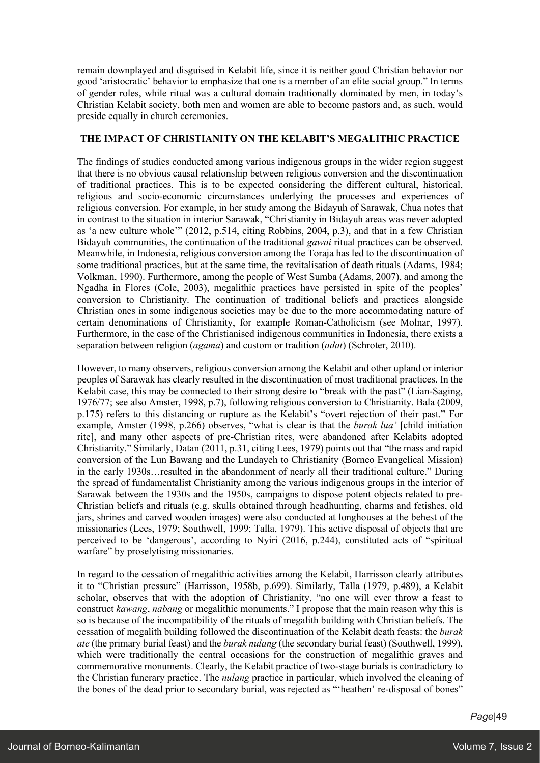remain downplayed and disguised in Kelabit life, since it is neither good Christian behavior nor good 'aristocratic' behavior to emphasize that one is a member of an elite social group." In terms of gender roles, while ritual was a cultural domain traditionally dominated by men, in today's Christian Kelabit society, both men and women are able to become pastors and, as such, would preside equally in church ceremonies.

# **THE IMPACT OF CHRISTIANITY ON THE KELABIT'S MEGALITHIC PRACTICE**

The findings of studies conducted among various indigenous groups in the wider region suggest that there is no obvious causal relationship between religious conversion and the discontinuation of traditional practices. This is to be expected considering the different cultural, historical, religious and socio-economic circumstances underlying the processes and experiences of religious conversion. For example, in her study among the Bidayuh of Sarawak, Chua notes that in contrast to the situation in interior Sarawak, "Christianity in Bidayuh areas was never adopted as 'a new culture whole'" (2012, p.514, citing Robbins, 2004, p.3), and that in a few Christian Bidayuh communities, the continuation of the traditional *gawai* ritual practices can be observed. Meanwhile, in Indonesia, religious conversion among the Toraja has led to the discontinuation of some traditional practices, but at the same time, the revitalisation of death rituals (Adams, 1984; Volkman, 1990). Furthermore, among the people of West Sumba (Adams, 2007), and among the Ngadha in Flores (Cole, 2003), megalithic practices have persisted in spite of the peoples' conversion to Christianity. The continuation of traditional beliefs and practices alongside Christian ones in some indigenous societies may be due to the more accommodating nature of certain denominations of Christianity, for example Roman-Catholicism (see Molnar, 1997). Furthermore, in the case of the Christianised indigenous communities in Indonesia, there exists a separation between religion (*agama*) and custom or tradition (*adat*) (Schroter, 2010).

However, to many observers, religious conversion among the Kelabit and other upland or interior peoples of Sarawak has clearly resulted in the discontinuation of most traditional practices. In the Kelabit case, this may be connected to their strong desire to "break with the past" (Lian-Saging, 1976/77; see also Amster, 1998, p.7), following religious conversion to Christianity. Bala (2009, p.175) refers to this distancing or rupture as the Kelabit's "overt rejection of their past." For example, Amster (1998, p.266) observes, "what is clear is that the *burak lua'* [child initiation rite], and many other aspects of pre-Christian rites, were abandoned after Kelabits adopted Christianity." Similarly, Datan (2011, p.31, citing Lees, 1979) points out that "the mass and rapid conversion of the Lun Bawang and the Lundayeh to Christianity (Borneo Evangelical Mission) in the early 1930s…resulted in the abandonment of nearly all their traditional culture." During the spread of fundamentalist Christianity among the various indigenous groups in the interior of Sarawak between the 1930s and the 1950s, campaigns to dispose potent objects related to pre-Christian beliefs and rituals (e.g. skulls obtained through headhunting, charms and fetishes, old jars, shrines and carved wooden images) were also conducted at longhouses at the behest of the missionaries (Lees, 1979; Southwell, 1999; Talla, 1979). This active disposal of objects that are perceived to be 'dangerous', according to Nyiri (2016, p.244), constituted acts of "spiritual warfare" by proselytising missionaries.

In regard to the cessation of megalithic activities among the Kelabit, Harrisson clearly attributes it to "Christian pressure" (Harrisson, 1958b, p.699). Similarly, Talla (1979, p.489), a Kelabit scholar, observes that with the adoption of Christianity, "no one will ever throw a feast to construct *kawang*, *nabang* or megalithic monuments." I propose that the main reason why this is so is because of the incompatibility of the rituals of megalith building with Christian beliefs. The cessation of megalith building followed the discontinuation of the Kelabit death feasts: the *burak ate* (the primary burial feast) and the *burak nulang* (the secondary burial feast) (Southwell, 1999), which were traditionally the central occasions for the construction of megalithic graves and commemorative monuments. Clearly, the Kelabit practice of two-stage burials is contradictory to the Christian funerary practice. The *nulang* practice in particular, which involved the cleaning of the bones of the dead prior to secondary burial, was rejected as "'heathen' re-disposal of bones"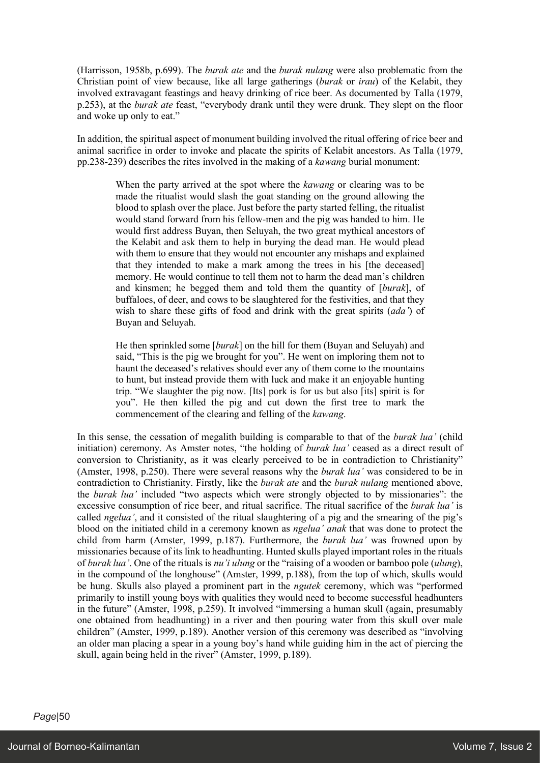(Harrisson, 1958b, p.699). The *burak ate* and the *burak nulang* were also problematic from the Christian point of view because, like all large gatherings (*burak* or *irau*) of the Kelabit, they involved extravagant feastings and heavy drinking of rice beer. As documented by Talla (1979, p.253), at the *burak ate* feast, "everybody drank until they were drunk. They slept on the floor and woke up only to eat."

In addition, the spiritual aspect of monument building involved the ritual offering of rice beer and animal sacrifice in order to invoke and placate the spirits of Kelabit ancestors. As Talla (1979, pp.238-239) describes the rites involved in the making of a *kawang* burial monument:

When the party arrived at the spot where the *kawang* or clearing was to be made the ritualist would slash the goat standing on the ground allowing the blood to splash over the place. Just before the party started felling, the ritualist would stand forward from his fellow-men and the pig was handed to him. He would first address Buyan, then Seluyah, the two great mythical ancestors of the Kelabit and ask them to help in burying the dead man. He would plead with them to ensure that they would not encounter any mishaps and explained that they intended to make a mark among the trees in his [the deceased] memory. He would continue to tell them not to harm the dead man's children and kinsmen; he begged them and told them the quantity of [*burak*], of buffaloes, of deer, and cows to be slaughtered for the festivities, and that they wish to share these gifts of food and drink with the great spirits (*ada'*) of Buyan and Seluyah.

He then sprinkled some [*burak*] on the hill for them (Buyan and Seluyah) and said, "This is the pig we brought for you". He went on imploring them not to haunt the deceased's relatives should ever any of them come to the mountains to hunt, but instead provide them with luck and make it an enjoyable hunting trip. "We slaughter the pig now. [Its] pork is for us but also [its] spirit is for you". He then killed the pig and cut down the first tree to mark the commencement of the clearing and felling of the *kawang*.

In this sense, the cessation of megalith building is comparable to that of the *burak lua'* (child initiation) ceremony. As Amster notes, "the holding of *burak lua'* ceased as a direct result of conversion to Christianity, as it was clearly perceived to be in contradiction to Christianity" (Amster, 1998, p.250). There were several reasons why the *burak lua'* was considered to be in contradiction to Christianity. Firstly, like the *burak ate* and the *burak nulang* mentioned above, the *burak lua'* included "two aspects which were strongly objected to by missionaries": the excessive consumption of rice beer, and ritual sacrifice. The ritual sacrifice of the *burak lua'* is called *ngelua'*, and it consisted of the ritual slaughtering of a pig and the smearing of the pig's blood on the initiated child in a ceremony known as *ngelua' anak* that was done to protect the child from harm (Amster, 1999, p.187). Furthermore, the *burak lua'* was frowned upon by missionaries because of its link to headhunting. Hunted skulls played important roles in the rituals of *burak lua'*. One of the rituals is *nu'i ulung* or the "raising of a wooden or bamboo pole (*ulung*), in the compound of the longhouse" (Amster, 1999, p.188), from the top of which, skulls would be hung. Skulls also played a prominent part in the *ngutek* ceremony, which was "performed primarily to instill young boys with qualities they would need to become successful headhunters in the future" (Amster, 1998, p.259). It involved "immersing a human skull (again, presumably one obtained from headhunting) in a river and then pouring water from this skull over male children" (Amster, 1999, p.189). Another version of this ceremony was described as "involving an older man placing a spear in a young boy's hand while guiding him in the act of piercing the skull, again being held in the river" (Amster, 1999, p.189).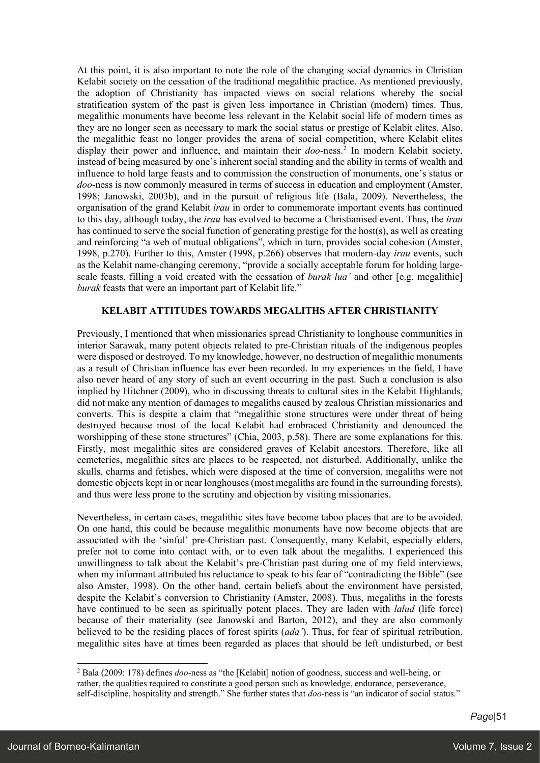At this point, it is also important to note the role of the changing social dynamics in Christian Kelabit society on the cessation of the traditional megalithic practice. As mentioned previously, the adoption of Christianity has impacted views on social relations whereby the social stratification system of the past is given less importance in Christian (modern) times. Thus, megalithic monuments have become less relevant in the Kelabit social life of modern times as they are no longer seen as necessary to mark the social status or prestige of Kelabit elites. Also, the megalithic feast no longer provides the arena of social competition, where Kelabit elites display their power and influence, and maintain their *doo*-ness.<sup>2</sup> In modern Kelabit society, instead of being measured by one's inherent social standing and the ability in terms of wealth and influence to hold large feasts and to commission the construction of monuments, one's status or *doo*-ness is now commonly measured in terms of success in education and employment (Amster, 1998; Janowski, 2003b), and in the pursuit of religious life (Bala, 2009). Nevertheless, the organisation of the grand Kelabit *irau* in order to commemorate important events has continued to this day, although today, the *irau* has evolved to become a Christianised event. Thus, the *irau* has continued to serve the social function of generating prestige for the host(s), as well as creating and reinforcing "a web of mutual obligations", which in turn, provides social cohesion (Amster, 1998, p.270). Further to this, Amster (1998, p.266) observes that modern-day *irau* events, such as the Kelabit name-changing ceremony, "provide a socially acceptable forum for holding largescale feasts, filling a void created with the cessation of *burak lua'* and other [e.g. megalithic] *burak* feasts that were an important part of Kelabit life."

# **KELABIT ATTITUDES TOWARDS MEGALITHS AFTER CHRISTIANITY**

Previously, I mentioned that when missionaries spread Christianity to longhouse communities in interior Sarawak, many potent objects related to pre-Christian rituals of the indigenous peoples were disposed or destroyed. To my knowledge, however, no destruction of megalithic monuments as a result of Christian influence has ever been recorded. In my experiences in the field, I have also never heard of any story of such an event occurring in the past. Such a conclusion is also implied by Hitchner (2009), who in discussing threats to cultural sites in the Kelabit Highlands, did not make any mention of damages to megaliths caused by zealous Christian missionaries and converts. This is despite a claim that "megalithic stone structures were under threat of being destroyed because most of the local Kelabit had embraced Christianity and denounced the worshipping of these stone structures" (Chia, 2003, p.58). There are some explanations for this. Firstly, most megalithic sites are considered graves of Kelabit ancestors. Therefore, like all cemeteries, megalithic sites are places to be respected, not disturbed. Additionally, unlike the skulls, charms and fetishes, which were disposed at the time of conversion, megaliths were not domestic objects kept in or near longhouses (most megaliths are found in the surrounding forests), and thus were less prone to the scrutiny and objection by visiting missionaries.

Nevertheless, in certain cases, megalithic sites have become taboo places that are to be avoided. On one hand, this could be because megalithic monuments have now become objects that are associated with the 'sinful' pre-Christian past. Consequently, many Kelabit, especially elders, prefer not to come into contact with, or to even talk about the megaliths. I experienced this unwillingness to talk about the Kelabit's pre-Christian past during one of my field interviews, when my informant attributed his reluctance to speak to his fear of "contradicting the Bible" (see also Amster, 1998). On the other hand, certain beliefs about the environment have persisted, despite the Kelabit's conversion to Christianity (Amster, 2008). Thus, megaliths in the forests have continued to be seen as spiritually potent places. They are laden with *lalud* (life force) because of their materiality (see Janowski and Barton, 2012), and they are also commonly believed to be the residing places of forest spirits (*ada'*). Thus, for fear of spiritual retribution, megalithic sites have at times been regarded as places that should be left undisturbed, or best

<sup>2</sup> Bala (2009: 178) defines *doo*-ness as "the [Kelabit] notion of goodness, success and well-being, or rather, the qualities required to constitute a good person such as knowledge, endurance, perseverance, self-discipline, hospitality and strength." She further states that *doo*-ness is "an indicator of social status."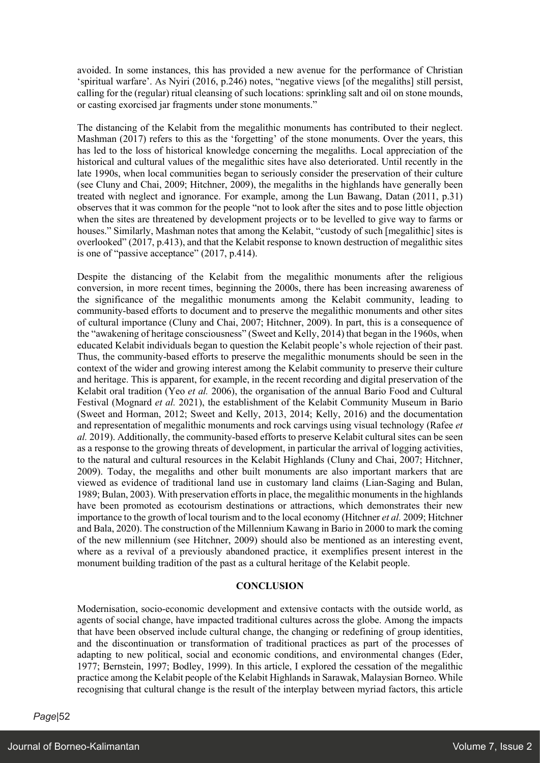avoided. In some instances, this has provided a new avenue for the performance of Christian 'spiritual warfare'. As Nyiri (2016, p.246) notes, "negative views [of the megaliths] still persist, calling for the (regular) ritual cleansing of such locations: sprinkling salt and oil on stone mounds, or casting exorcised jar fragments under stone monuments."

The distancing of the Kelabit from the megalithic monuments has contributed to their neglect. Mashman (2017) refers to this as the 'forgetting' of the stone monuments. Over the years, this has led to the loss of historical knowledge concerning the megaliths. Local appreciation of the historical and cultural values of the megalithic sites have also deteriorated. Until recently in the late 1990s, when local communities began to seriously consider the preservation of their culture (see Cluny and Chai, 2009; Hitchner, 2009), the megaliths in the highlands have generally been treated with neglect and ignorance. For example, among the Lun Bawang, Datan (2011, p.31) observes that it was common for the people "not to look after the sites and to pose little objection when the sites are threatened by development projects or to be levelled to give way to farms or houses." Similarly, Mashman notes that among the Kelabit, "custody of such [megalithic] sites is overlooked" (2017, p.413), and that the Kelabit response to known destruction of megalithic sites is one of "passive acceptance" (2017, p.414).

Despite the distancing of the Kelabit from the megalithic monuments after the religious conversion, in more recent times, beginning the 2000s, there has been increasing awareness of the significance of the megalithic monuments among the Kelabit community, leading to community-based efforts to document and to preserve the megalithic monuments and other sites of cultural importance (Cluny and Chai, 2007; Hitchner, 2009). In part, this is a consequence of the "awakening of heritage consciousness" (Sweet and Kelly, 2014) that began in the 1960s, when educated Kelabit individuals began to question the Kelabit people's whole rejection of their past. Thus, the community-based efforts to preserve the megalithic monuments should be seen in the context of the wider and growing interest among the Kelabit community to preserve their culture and heritage. This is apparent, for example, in the recent recording and digital preservation of the Kelabit oral tradition (Yeo *et al.* 2006), the organisation of the annual Bario Food and Cultural Festival (Mognard *et al.* 2021), the establishment of the Kelabit Community Museum in Bario (Sweet and Horman, 2012; Sweet and Kelly, 2013, 2014; Kelly, 2016) and the documentation and representation of megalithic monuments and rock carvings using visual technology (Rafee *et al.* 2019). Additionally, the community-based efforts to preserve Kelabit cultural sites can be seen as a response to the growing threats of development, in particular the arrival of logging activities, to the natural and cultural resources in the Kelabit Highlands (Cluny and Chai, 2007; Hitchner, 2009). Today, the megaliths and other built monuments are also important markers that are viewed as evidence of traditional land use in customary land claims (Lian-Saging and Bulan, 1989; Bulan, 2003). With preservation efforts in place, the megalithic monuments in the highlands have been promoted as ecotourism destinations or attractions, which demonstrates their new importance to the growth of local tourism and to the local economy (Hitchner *et al.* 2009; Hitchner and Bala, 2020). The construction of the Millennium Kawang in Bario in 2000 to mark the coming of the new millennium (see Hitchner, 2009) should also be mentioned as an interesting event, where as a revival of a previously abandoned practice, it exemplifies present interest in the monument building tradition of the past as a cultural heritage of the Kelabit people.

# **CONCLUSION**

Modernisation, socio-economic development and extensive contacts with the outside world, as agents of social change, have impacted traditional cultures across the globe. Among the impacts that have been observed include cultural change, the changing or redefining of group identities, and the discontinuation or transformation of traditional practices as part of the processes of adapting to new political, social and economic conditions, and environmental changes (Eder, 1977; Bernstein, 1997; Bodley, 1999). In this article, I explored the cessation of the megalithic practice among the Kelabit people of the Kelabit Highlands in Sarawak, Malaysian Borneo. While recognising that cultural change is the result of the interplay between myriad factors, this article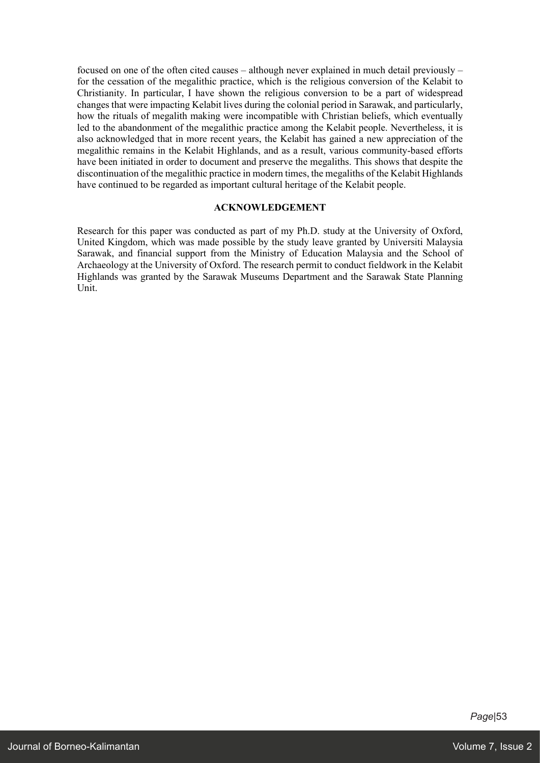focused on one of the often cited causes – although never explained in much detail previously – for the cessation of the megalithic practice, which is the religious conversion of the Kelabit to Christianity. In particular, I have shown the religious conversion to be a part of widespread changes that were impacting Kelabit lives during the colonial period in Sarawak, and particularly, how the rituals of megalith making were incompatible with Christian beliefs, which eventually led to the abandonment of the megalithic practice among the Kelabit people. Nevertheless, it is also acknowledged that in more recent years, the Kelabit has gained a new appreciation of the megalithic remains in the Kelabit Highlands, and as a result, various community-based efforts have been initiated in order to document and preserve the megaliths. This shows that despite the discontinuation of the megalithic practice in modern times, the megaliths of the Kelabit Highlands have continued to be regarded as important cultural heritage of the Kelabit people.

### **ACKNOWLEDGEMENT**

Research for this paper was conducted as part of my Ph.D. study at the University of Oxford, United Kingdom, which was made possible by the study leave granted by Universiti Malaysia Sarawak, and financial support from the Ministry of Education Malaysia and the School of Archaeology at the University of Oxford. The research permit to conduct fieldwork in the Kelabit Highlands was granted by the Sarawak Museums Department and the Sarawak State Planning Unit.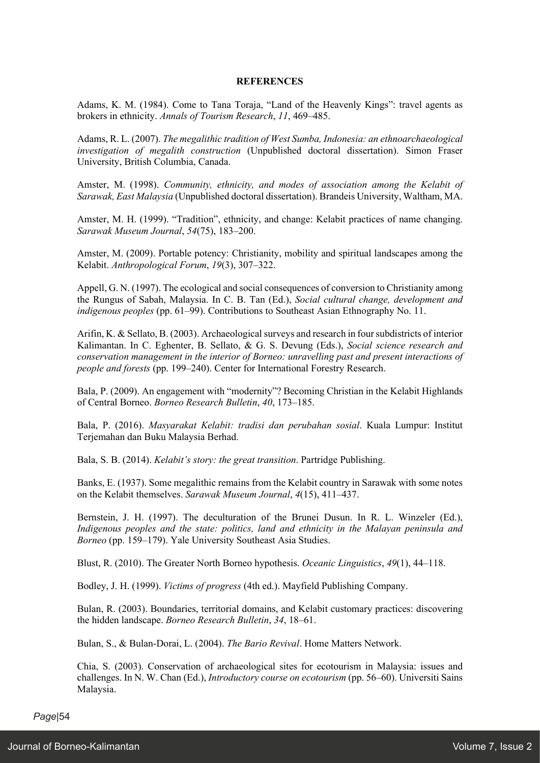### **REFERENCES**

Adams, K. M. (1984). Come to Tana Toraja, "Land of the Heavenly Kings": travel agents as brokers in ethnicity. *Annals of Tourism Research*, *11*, 469–485.

Adams, R. L. (2007). *The megalithic tradition of West Sumba, Indonesia: an ethnoarchaeological investigation of megalith construction* (Unpublished doctoral dissertation). Simon Fraser University, British Columbia, Canada.

Amster, M. (1998). *Community, ethnicity, and modes of association among the Kelabit of Sarawak, East Malaysia* (Unpublished doctoral dissertation). Brandeis University, Waltham, MA.

Amster, M. H. (1999). "Tradition", ethnicity, and change: Kelabit practices of name changing. *Sarawak Museum Journal*, *54*(75), 183–200.

Amster, M. (2009). Portable potency: Christianity, mobility and spiritual landscapes among the Kelabit. *Anthropological Forum*, *19*(3), 307–322.

Appell, G. N. (1997). The ecological and social consequences of conversion to Christianity among the Rungus of Sabah, Malaysia. In C. B. Tan (Ed.), *Social cultural change, development and indigenous peoples* (pp. 61–99). Contributions to Southeast Asian Ethnography No. 11.

Arifin, K. & Sellato, B. (2003). Archaeological surveys and research in four subdistricts of interior Kalimantan. In C. Eghenter, B. Sellato, & G. S. Devung (Eds.), *Social science research and conservation management in the interior of Borneo: unravelling past and present interactions of people and forests* (pp. 199–240). Center for International Forestry Research.

Bala, P. (2009). An engagement with "modernity"? Becoming Christian in the Kelabit Highlands of Central Borneo. *Borneo Research Bulletin*, *40*, 173–185.

Bala, P. (2016). *Masyarakat Kelabit: tradisi dan perubahan sosial*. Kuala Lumpur: Institut Terjemahan dan Buku Malaysia Berhad.

Bala, S. B. (2014). *Kelabit's story: the great transition*. Partridge Publishing.

Banks, E. (1937). Some megalithic remains from the Kelabit country in Sarawak with some notes on the Kelabit themselves. *Sarawak Museum Journal*, *4*(15), 411–437.

Bernstein, J. H. (1997). The deculturation of the Brunei Dusun. In R. L. Winzeler (Ed.), *Indigenous peoples and the state: politics, land and ethnicity in the Malayan peninsula and Borneo* (pp. 159–179). Yale University Southeast Asia Studies.

Blust, R. (2010). The Greater North Borneo hypothesis. *Oceanic Linguistics*, *49*(1), 44–118.

Bodley, J. H. (1999). *Victims of progress* (4th ed.). Mayfield Publishing Company.

Bulan, R. (2003). Boundaries, territorial domains, and Kelabit customary practices: discovering the hidden landscape. *Borneo Research Bulletin*, *34*, 18–61.

Bulan, S., & Bulan-Dorai, L. (2004). *The Bario Revival*. Home Matters Network.

Chia, S. (2003). Conservation of archaeological sites for ecotourism in Malaysia: issues and challenges. In N. W. Chan (Ed.), *Introductory course on ecotourism* (pp. 56–60). Universiti Sains Malaysia.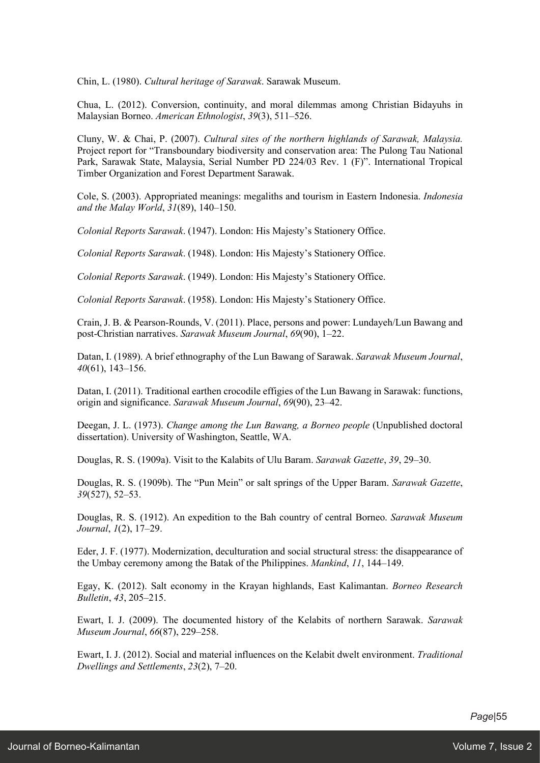Chin, L. (1980). *Cultural heritage of Sarawak*. Sarawak Museum.

Chua, L. (2012). Conversion, continuity, and moral dilemmas among Christian Bidayuhs in Malaysian Borneo. *American Ethnologist*, *39*(3), 511–526.

Cluny, W. & Chai, P. (2007). *Cultural sites of the northern highlands of Sarawak, Malaysia.*  Project report for "Transboundary biodiversity and conservation area: The Pulong Tau National Park, Sarawak State, Malaysia, Serial Number PD 224/03 Rev. 1 (F)". International Tropical Timber Organization and Forest Department Sarawak.

Cole, S. (2003). Appropriated meanings: megaliths and tourism in Eastern Indonesia. *Indonesia and the Malay World*, *31*(89), 140–150.

*Colonial Reports Sarawak*. (1947). London: His Majesty's Stationery Office.

*Colonial Reports Sarawak*. (1948). London: His Majesty's Stationery Office.

*Colonial Reports Sarawak*. (1949). London: His Majesty's Stationery Office.

*Colonial Reports Sarawak*. (1958). London: His Majesty's Stationery Office.

Crain, J. B. & Pearson-Rounds, V. (2011). Place, persons and power: Lundayeh/Lun Bawang and post-Christian narratives. *Sarawak Museum Journal*, *69*(90), 1–22.

Datan, I. (1989). A brief ethnography of the Lun Bawang of Sarawak. *Sarawak Museum Journal*, *40*(61), 143–156.

Datan, I. (2011). Traditional earthen crocodile effigies of the Lun Bawang in Sarawak: functions, origin and significance. *Sarawak Museum Journal*, *69*(90), 23–42.

Deegan, J. L. (1973). *Change among the Lun Bawang, a Borneo people* (Unpublished doctoral dissertation). University of Washington, Seattle, WA.

Douglas, R. S. (1909a). Visit to the Kalabits of Ulu Baram. *Sarawak Gazette*, *39*, 29–30.

Douglas, R. S. (1909b). The "Pun Mein" or salt springs of the Upper Baram. *Sarawak Gazette*, *39*(527), 52–53.

Douglas, R. S. (1912). An expedition to the Bah country of central Borneo. *Sarawak Museum Journal*, *1*(2), 17–29.

Eder, J. F. (1977). Modernization, deculturation and social structural stress: the disappearance of the Umbay ceremony among the Batak of the Philippines. *Mankind*, *11*, 144–149.

Egay, K. (2012). Salt economy in the Krayan highlands, East Kalimantan. *Borneo Research Bulletin*, *43*, 205–215.

Ewart, I. J. (2009). The documented history of the Kelabits of northern Sarawak. *Sarawak Museum Journal*, *66*(87), 229–258.

Ewart, I. J. (2012). Social and material influences on the Kelabit dwelt environment. *Traditional Dwellings and Settlements*, *23*(2), 7–20.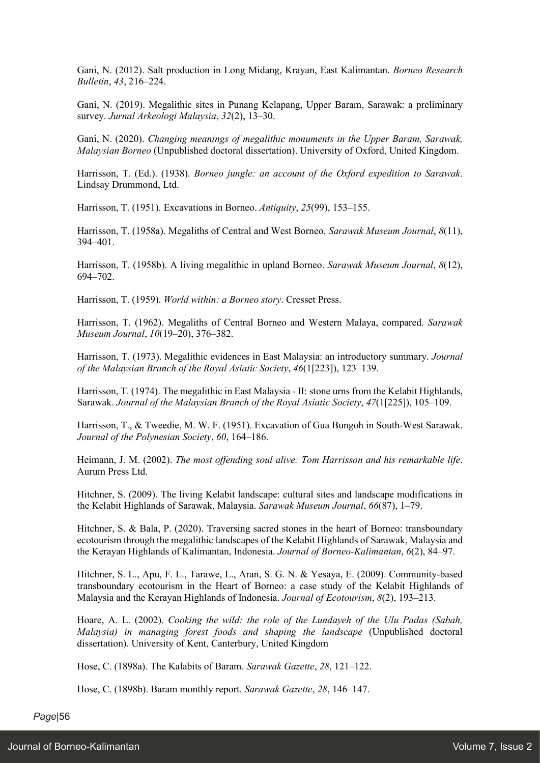Gani, N. (2012). Salt production in Long Midang, Krayan, East Kalimantan. *Borneo Research Bulletin*, *43*, 216–224.

Gani, N. (2019). Megalithic sites in Punang Kelapang, Upper Baram, Sarawak: a preliminary survey. *Jurnal Arkeologi Malaysia*, *32*(2), 13–30.

Gani, N. (2020). *Changing meanings of megalithic monuments in the Upper Baram, Sarawak, Malaysian Borneo* (Unpublished doctoral dissertation). University of Oxford, United Kingdom.

Harrisson, T. (Ed.). (1938). *Borneo jungle: an account of the Oxford expedition to Sarawak*. Lindsay Drummond, Ltd.

Harrisson, T. (1951). Excavations in Borneo. *Antiquity*, *25*(99), 153–155.

Harrisson, T. (1958a). Megaliths of Central and West Borneo. *Sarawak Museum Journal*, *8*(11), 394–401.

Harrisson, T. (1958b). A living megalithic in upland Borneo. *Sarawak Museum Journal*, *8*(12), 694–702.

Harrisson, T. (1959). *World within: a Borneo story*. Cresset Press.

Harrisson, T. (1962). Megaliths of Central Borneo and Western Malaya, compared. *Sarawak Museum Journal*, *10*(19–20), 376–382.

Harrisson, T. (1973). Megalithic evidences in East Malaysia: an introductory summary. *Journal of the Malaysian Branch of the Royal Asiatic Society*, *46*(1[223]), 123–139.

Harrisson, T. (1974). The megalithic in East Malaysia - II: stone urns from the Kelabit Highlands, Sarawak. *Journal of the Malaysian Branch of the Royal Asiatic Society*, *47*(1[225]), 105–109.

Harrisson, T., & Tweedie, M. W. F. (1951). Excavation of Gua Bungoh in South-West Sarawak. *Journal of the Polynesian Society*, *60*, 164–186.

Heimann, J. M. (2002). *The most offending soul alive: Tom Harrisson and his remarkable life*. Aurum Press Ltd.

Hitchner, S. (2009). The living Kelabit landscape: cultural sites and landscape modifications in the Kelabit Highlands of Sarawak, Malaysia. *Sarawak Museum Journal*, *66*(87), 1–79.

Hitchner, S. & Bala, P. (2020). Traversing sacred stones in the heart of Borneo: transboundary ecotourism through the megalithic landscapes of the Kelabit Highlands of Sarawak, Malaysia and the Kerayan Highlands of Kalimantan, Indonesia. *Journal of Borneo-Kalimantan*, *6*(2), 84–97.

Hitchner, S. L., Apu, F. L., Tarawe, L., Aran, S. G. N. & Yesaya, E. (2009). Community-based transboundary ecotourism in the Heart of Borneo: a case study of the Kelabit Highlands of Malaysia and the Kerayan Highlands of Indonesia. *Journal of Ecotourism*, *8*(2), 193–213.

Hoare, A. L. (2002). *Cooking the wild: the role of the Lundayeh of the Ulu Padas (Sabah, Malaysia) in managing forest foods and shaping the landscape* (Unpublished doctoral dissertation). University of Kent, Canterbury, United Kingdom

Hose, C. (1898a). The Kalabits of Baram. *Sarawak Gazette*, *28*, 121–122.

Hose, C. (1898b). Baram monthly report. *Sarawak Gazette*, *28*, 146–147.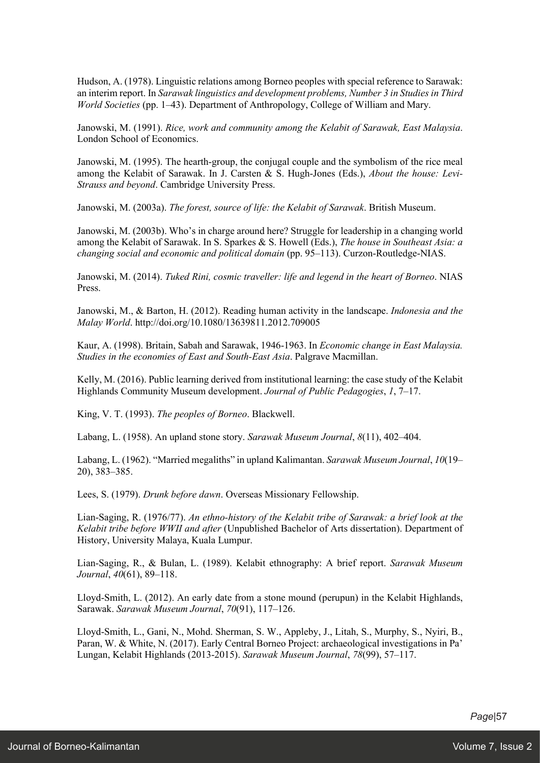Hudson, A. (1978). Linguistic relations among Borneo peoples with special reference to Sarawak: an interim report. In *Sarawak linguistics and development problems, Number 3 in Studies in Third World Societies* (pp. 1–43). Department of Anthropology, College of William and Mary.

Janowski, M. (1991). *Rice, work and community among the Kelabit of Sarawak, East Malaysia*. London School of Economics.

Janowski, M. (1995). The hearth-group, the conjugal couple and the symbolism of the rice meal among the Kelabit of Sarawak. In J. Carsten & S. Hugh-Jones (Eds.), *About the house: Levi-Strauss and beyond*. Cambridge University Press.

Janowski, M. (2003a). *The forest, source of life: the Kelabit of Sarawak*. British Museum.

Janowski, M. (2003b). Who's in charge around here? Struggle for leadership in a changing world among the Kelabit of Sarawak. In S. Sparkes & S. Howell (Eds.), *The house in Southeast Asia: a changing social and economic and political domain* (pp. 95–113). Curzon-Routledge-NIAS.

Janowski, M. (2014). *Tuked Rini, cosmic traveller: life and legend in the heart of Borneo*. NIAS Press.

Janowski, M., & Barton, H. (2012). Reading human activity in the landscape. *Indonesia and the Malay World*. http://doi.org/10.1080/13639811.2012.709005

Kaur, A. (1998). Britain, Sabah and Sarawak, 1946-1963. In *Economic change in East Malaysia. Studies in the economies of East and South-East Asia*. Palgrave Macmillan.

Kelly, M. (2016). Public learning derived from institutional learning: the case study of the Kelabit Highlands Community Museum development. *Journal of Public Pedagogies*, *1*, 7–17.

King, V. T. (1993). *The peoples of Borneo*. Blackwell.

Labang, L. (1958). An upland stone story. *Sarawak Museum Journal*, *8*(11), 402–404.

Labang, L. (1962). "Married megaliths" in upland Kalimantan. *Sarawak Museum Journal*, *10*(19– 20), 383–385.

Lees, S. (1979). *Drunk before dawn*. Overseas Missionary Fellowship.

Lian-Saging, R. (1976/77). *An ethno-history of the Kelabit tribe of Sarawak: a brief look at the Kelabit tribe before WWII and after* (Unpublished Bachelor of Arts dissertation). Department of History, University Malaya, Kuala Lumpur.

Lian-Saging, R., & Bulan, L. (1989). Kelabit ethnography: A brief report. *Sarawak Museum Journal*, *40*(61), 89–118.

Lloyd-Smith, L. (2012). An early date from a stone mound (perupun) in the Kelabit Highlands, Sarawak. *Sarawak Museum Journal*, *70*(91), 117–126.

Lloyd-Smith, L., Gani, N., Mohd. Sherman, S. W., Appleby, J., Litah, S., Murphy, S., Nyiri, B., Paran, W. & White, N. (2017). Early Central Borneo Project: archaeological investigations in Pa' Lungan, Kelabit Highlands (2013-2015). *Sarawak Museum Journal*, *78*(99), 57–117.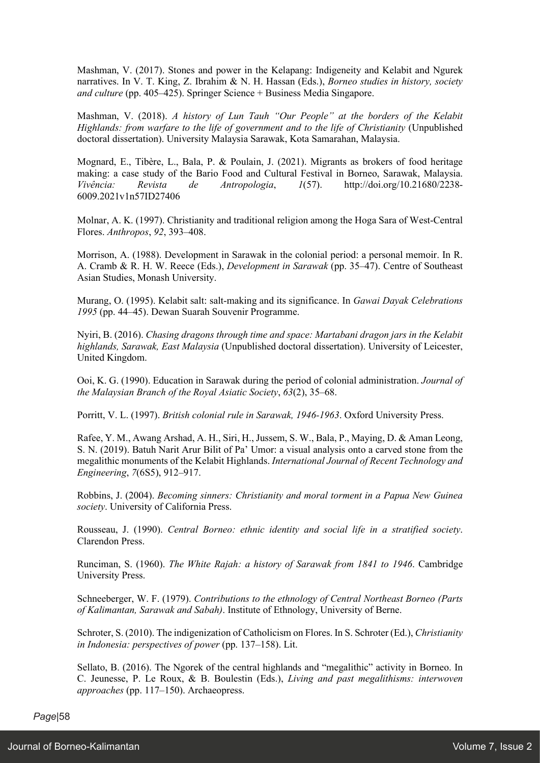Mashman, V. (2017). Stones and power in the Kelapang: Indigeneity and Kelabit and Ngurek narratives. In V. T. King, Z. Ibrahim & N. H. Hassan (Eds.), *Borneo studies in history, society and culture* (pp. 405–425). Springer Science + Business Media Singapore.

Mashman, V. (2018). *A history of Lun Tauh "Our People" at the borders of the Kelabit Highlands: from warfare to the life of government and to the life of Christianity* (Unpublished doctoral dissertation). University Malaysia Sarawak, Kota Samarahan, Malaysia.

Mognard, E., Tibère, L., Bala, P. & Poulain, J. (2021). Migrants as brokers of food heritage making: a case study of the Bario Food and Cultural Festival in Borneo, Sarawak, Malaysia. *Vivência: Revista de Antropologia*, *1*(57). http://doi.org/10.21680/2238- 6009.2021v1n57ID27406

Molnar, A. K. (1997). Christianity and traditional religion among the Hoga Sara of West-Central Flores. *Anthropos*, *92*, 393–408.

Morrison, A. (1988). Development in Sarawak in the colonial period: a personal memoir. In R. A. Cramb & R. H. W. Reece (Eds.), *Development in Sarawak* (pp. 35–47). Centre of Southeast Asian Studies, Monash University.

Murang, O. (1995). Kelabit salt: salt-making and its significance. In *Gawai Dayak Celebrations 1995* (pp. 44–45). Dewan Suarah Souvenir Programme.

Nyiri, B. (2016). *Chasing dragons through time and space: Martabani dragon jars in the Kelabit highlands, Sarawak, East Malaysia* (Unpublished doctoral dissertation). University of Leicester, United Kingdom.

Ooi, K. G. (1990). Education in Sarawak during the period of colonial administration. *Journal of the Malaysian Branch of the Royal Asiatic Society*, *63*(2), 35–68.

Porritt, V. L. (1997). *British colonial rule in Sarawak, 1946-1963*. Oxford University Press.

Rafee, Y. M., Awang Arshad, A. H., Siri, H., Jussem, S. W., Bala, P., Maying, D. & Aman Leong, S. N. (2019). Batuh Narit Arur Bilit of Pa' Umor: a visual analysis onto a carved stone from the megalithic monuments of the Kelabit Highlands. *International Journal of Recent Technology and Engineering*, *7*(6S5), 912–917.

Robbins, J. (2004). *Becoming sinners: Christianity and moral torment in a Papua New Guinea society*. University of California Press.

Rousseau, J. (1990). *Central Borneo: ethnic identity and social life in a stratified society*. Clarendon Press.

Runciman, S. (1960). *The White Rajah: a history of Sarawak from 1841 to 1946*. Cambridge University Press.

Schneeberger, W. F. (1979). *Contributions to the ethnology of Central Northeast Borneo (Parts of Kalimantan, Sarawak and Sabah)*. Institute of Ethnology, University of Berne.

Schroter, S. (2010). The indigenization of Catholicism on Flores. In S. Schroter (Ed.), *Christianity in Indonesia: perspectives of power* (pp. 137–158). Lit.

Sellato, B. (2016). The Ngorek of the central highlands and "megalithic" activity in Borneo. In C. Jeunesse, P. Le Roux, & B. Boulestin (Eds.), *Living and past megalithisms: interwoven approaches* (pp. 117–150). Archaeopress.